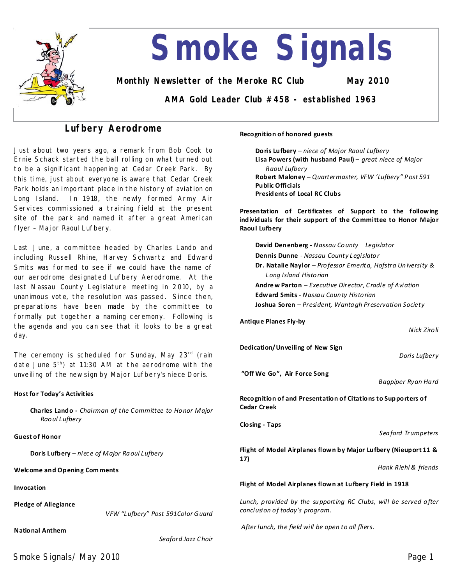

# **Lufbery Aerodrome**

Just about two years ago, a remark from Bob Cook to Ernie Schack started the ball rolling on what turned out to be a significant happening at Cedar Creek Park. By this time, just about everyone is aware that Cedar Creek Park holds an important place in the history of aviation on Long Island. In 1918, the newly formed Army Air Services commissioned a training field at the present site of the park and named it after a great American flyer–Major Raoul Lufbery.

Last June, a committee headed by Charles Lando and including Russell Rhine, Harvey Schwartz and Edward Smits was formed to see if we could have the name of our aerodrome designated Lufbery Aerodrome. At the last Nassau County Legislature meeting in 2010, by a unanimous vote, the resolution was passed. Since then, preparations have been made by the committee to formally put together a naming ceremony. Following is the agenda and you can see that it looks to be a great day.

The ceremony is scheduled for Sunday, May 23<sup>rd</sup> (rain date June 5<sup>th</sup>) at 11:30 AM at the aerodrome with the unveiling of the new sign by Major Lufbery's niece Doris.

#### **Host for Today's Activities**

**Charles Lando-***Chairman of the Committee to Ho nor Major Rao ul Lufbery*

#### **Guest of Honor**

**Doris Lufbery**–*niece of Major Ra oul Lufbery*

**Welcome and Opening Com ments**

**Invocation**

**Pledge of Allegiance** 

*VFW "Lufbery" Post 591Color Guard* 

**National Anthem**

*Seaford Jazz Choir*

#### **Recognition of honored guests**

**Doris Lufbery**–*niece of Major Raoul Lufbery* **Lisa Powers (with husband Paul)**–*great niece of Major Raoul Lufbery* **Robert Maloney–***Quartermaster, VFW 'Lufbery" P ost 591* **Public Officials Presidents of Local RC Clubs**

**Presentation of Certificates of Support to the following individuals for their support of the Committee to Honor Major Raoul Lufbery**

**David Denenberg**-*Nassau Co unty Legislator* **Dennis Dunne**-*Nassau County Legislato r* **Dr. Natalie Naylor**–*Pro fessor Emerita, Hofstra Un iversity & Long Island Histo rian*  **Andre wParton**–*Executive Director, Cradle of Aviation*  **Edward Smits**-*Nassa u Coun ty Histo rian*  **Joshua Soren**–*President, Wanta gh Preservation Society*

**Antique Planes Fly-by**

*Nick Ziro li*

**Dedication/Unveiling of New Sign**

*Doris Lufbery*

"Off We Go", Air Force Song

*Bagpiper Ryan Ha rd*

**Recognition of and Presentation of Citations to Supporters of Cedar Creek**

**Closing-Taps**

*Sea ford Trumpeters*

**Flight of Model Airplanes flown by Major Lufbery (Nieuport 11 & 17)**

*Hank Riehl & friends*

#### **Flight of Model Airplanes flown at Lufbery Field in 1918**

*Lunch, p rovided by the su pporting RC Clubs, will be served a fter conclusion o f today's program.*

*After lunch, th e field will be open to all fliers.*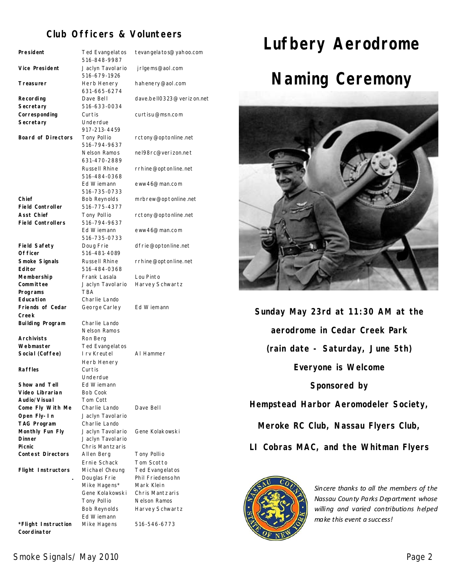# **Club Officers & Volunteers**

| President                             | Ted Evangelatos<br>516-848-9987   | tevangela to s@yahoo.com      |
|---------------------------------------|-----------------------------------|-------------------------------|
| Vice President                        | Jaclyn Tavolario                  | jrlgems@aol.com               |
|                                       | 516-679-1926                      |                               |
| Treasurer                             | Herb Henery<br>631-665-6274       | hahenery@aol.com              |
| Recording                             | Dave Bell                         | dave.bell0323@verizon.net     |
| Secretary                             | 516-633-0034                      |                               |
| Corresponding                         | Curtis                            | curtisu@msn.com               |
| Secretary                             | Underdue<br>917-213-4459          |                               |
| <b>Board of Directors</b>             | Tony Pollio                       | rctony@optonline.net          |
|                                       | 516-794-9637                      |                               |
|                                       | Nelson Ramos                      | nel98rc@verizon.net           |
|                                       | 631-470-2889                      |                               |
|                                       | Russell Rhine<br>516-484-0368     | rrhine@optonline.net          |
|                                       | Ed Wiemann                        | eww46@man.com                 |
|                                       | 516-735-0733                      |                               |
| Chief                                 | Bob Reynolds                      | m rbrew@optonline.net         |
| <b>Field Controller</b><br>Asst Chief | 516-775-4377                      |                               |
| <b>Field Controllers</b>              | Tony Pollio<br>516-794-9637       | rctony@optonline.net          |
|                                       | Ed Wiemann                        | eww46@man.com                 |
|                                       | 516-735-0733                      |                               |
| <b>Field Safety</b>                   | Doug Frie                         | dfrie@optonline.net           |
| Of ficer<br>Smoke Signals             | 516-481-4089<br>Russell Rhine     | rrhine@optonline.net          |
| <b>Editor</b>                         | 516-484-0368                      |                               |
| Membership                            | Frank Lasala                      | Lou Pinto                     |
| Committee                             | Jaclyn Tavolario                  | Harvey Schwartz               |
| Programs<br><b>Education</b>          | <b>TBA</b><br>Charlie Lando       |                               |
| Friends of Cedar                      | George Carley                     | Ed Wiemann                    |
| Creek                                 |                                   |                               |
| Building Program                      | Charlie Lando                     |                               |
| <b>Archivists</b>                     | Nelson Ramos<br>Ron Berg          |                               |
| Webmaster                             | Ted Evangelatos                   |                               |
| Social (Coffee)                       | I rv Kreutel                      | AI Hammer                     |
|                                       | Herb Henery                       |                               |
| <b>Raffles</b>                        | Curtis<br>Underdue                |                               |
| Show and Tell                         | Ed Wiemann                        |                               |
| Video Librarian                       | Bob Cook                          |                               |
| Audio/Visual                          | Tom Cott                          |                               |
| Come Fly With Me                      | Charlie Lando                     | Dave Bell                     |
| Open Fly-In<br>TAG Program            | Jaclyn Tavolario<br>Charlie Lando |                               |
| Monthly Fun Fly                       | Jaclyn Tavolario                  | Gene Kolakowski               |
| <b>Dinner</b>                         | Jaclyn Tavolario                  |                               |
| Picnic                                | Chris Mantzaris                   |                               |
| <b>Contest Directors</b>              | Allen Berg                        | Tony Pollio                   |
| <b>Flight Instructors</b>             | Ernie Schack<br>Michael Cheung    | Tom Scotto<br>Ted Evangelatos |
|                                       | Douglas Frie                      | Phil Friedensohn              |
|                                       | Mike Hagens*                      | Mark Klein                    |
|                                       | Gene Kolakowski                   | Chris Mantzaris               |
|                                       | Tony Pollio                       | Nelson Ramos                  |
|                                       | Bob Reynolds<br>Ed Wiemann        | Harvey Schwartz               |
| *Flight Instruction                   | Mike Hagens                       | 516-546-6773                  |
| Coordinator                           |                                   |                               |



**Sunday May 23rd at 11:30 AM at the aerodrome in Cedar Creek Park (rain date - Saturday, June 5th) Everyone is Welcome Sponsored by Hempstead Harbor Aeromodeler Society, Meroke RC Club, Nassau Flyers Club, LI Cobras MAC, and the Whitman Flyers**



*Sincere thanks to all the members of the* **Nassau County Parks Department whose** *willing and varied contributions helped make this event a success!*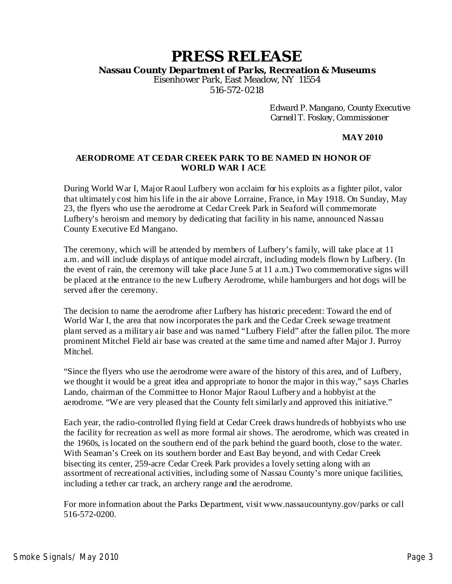# **PRESS RELEASE**

**Nassau County Department of Parks, Recreation & Museums**

Eisenhower Park, East Meadow, NY 11554 516-572-0218

> Edward P. Mangano, County Executive Carnell T. Foskey, Commissioner

### **MAY2010**

### **AERODROME AT CEDAR CREEK PARK TO BE NAMED IN HONOR OF WORLD WAR I ACE**

During World War I, Major Raoul Lufbery won acclaim for his exploits as a fighter pilot, valor that ultimately cost him his life in the air above Lorraine, France, in May 1918. On Sunday, May 23, the flyers who use the aerodrome at Cedar Creek Park in Seaford will commemorate Lufbery's heroism and memory by dedicating that facility in his name, announced Nassau County Executive Ed Mangano.

The ceremony, which will be attended by members of Lufbery's family, will take place at 11 a.m. and will include displays of antique model aircraft, including models flown by Lufbery.(In the event of rain, the ceremony will take place June 5 at 11a.m.) Two commemorative signs will be placed at the entrance to the new Lufbery Aerodrome, while hamburgers and hot dogswill be served after the ceremony.

The decision to name the aerodrome after Lufbery has historic precedent: Toward the end of World War I, the area that now incorporates the park and the Cedar Creek sewage treatment plant served as a military air base and was named "Lufbery Field" after the fallen pilot. The more prominent Mitchel Field air base was created at the same time and named after Major J. Purroy Mitchel.

"Since the flyers who use the aerodrome were aware of the history of this area, and of Lufbery, we thought it would be a great idea and appropriate to honor the major in this way," says Charles Lando, chairman of the Committee to Honor Major Raoul Lufbery and a hobbyist at the aerodrome. "We are very pleased that the County felt similarly and approved this initiative."

Each year, the radio-controlled flying field at Cedar Creek draws hundreds of hobbyists who use the facility for recreation as well as more formal air shows. The aerodrome, which was created in the 1960s, is located on the southern end of the park behind the guard booth, close to the water. With Seaman's Creek on its southern border and East Bay beyond, and with Cedar Creek bisecting its center, 259-acre Cedar Creek Park provides a lovely setting along with an assortment of recreational activities, including some of Nassau County's more unique facilities, including a tether car track, an archery range and the aerodrome.

For more information about the Parks Department, visit www.nassaucountyny.gov/parks or call 516-572-0200.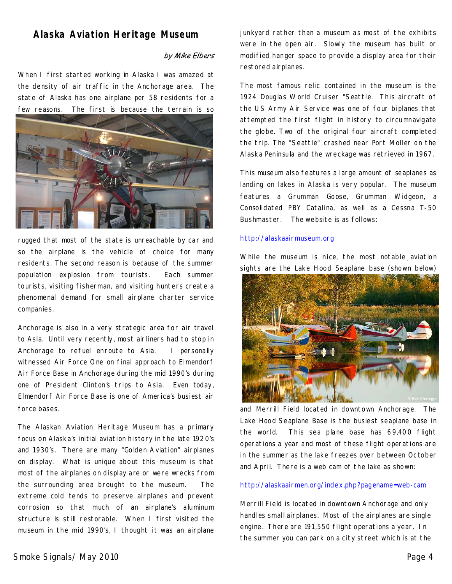# **Alaska Aviation Heritage Museum**

### by Mike Elbers

When I first started working in Alaska I was amazed at the density of air traffic in the Anchorage area. The state of Alaska has one airplane per 58 residents for a few reasons. The first is because the terrain is so



rugged that most of the state is unreachable by car and so the airplane is the vehicle of choice for many residents. The second reason is because of the summer population explosion from tourists. Each summer tourists, visiting fisherman, and visiting hunters create a phenomenal demand for small airplane charter service companies.

Anchorage is also in a very strategic area for air travel to Asia. Until very recently, most airliners had to stop in Anchorage to refuel enroute to Asia. I personally witnessed Air Force One on final approach to Elmendorf Air Force Base in Anchorage during the mid 1990's during one of President Clinton's trips to Asia. Even today, Elmendorf Air Force Base is one of America's busiest air force bases.

The Alaskan Aviation Heritage Museum has a primary focus on Alaska's initial aviation history in the late 1920's and 1930's. There are many "Golden Aviation" airplanes on display. What is unique about this museum is that most of the airplanes on display are or were wrecks from the surrounding area brought to the museum. The extreme cold tends to preserve airplanes and prevent corrosion so that much of an airplane's aluminum structure is still restorable. When I first visited the museum in the mid 1990's, I thought it was an airplane

junkyard rather than a museum as most of the exhibits were in the open air. Slowly the museum has built or modified hanger space to provide a display area for their restored airplanes.

The most famous relic contained in the museum is the 1924 Douglas World Cruiser "Seattle. This aircraft of the US Army Air Service was one of four biplanes that attempted the first flight in history to circumnavigate the globe. Two of the original four aircraft completed the trip. The "Seattle" crashed near Port Moller on the Alaska Peninsula and the wreckage was retrieved in 1967.

This museum also features alarge amount of seaplanes as landing on lakes in Alaska is very popular. The museum features a Grumman Goose, Grumman Widgeon, a Consolidated PBY Catalina, as well as a Cessna T-50 Bushmaster. The website is as follows:

#### http://alaskaairmuseum.org

While the museum is nice, the most notable aviation sights are the Lake Hood Seaplane base(shown below)



and Merrill Field located in downtown Anchorage. The Lake Hood Seaplane Base is the busiest seaplane base in the world. This sea plane base has 69,400 flight operations a year and most of these flight operations are in the summer as the lake freezes over between October and April. There is a web cam of the lake as shown:

#### http://alaskaairmen.org/index.php?pagename=web-cam

Merrill Field is located in downtown Anchorage and only handles small airplanes. Most of the airplanes are single engine. There are 191,550 flight operations a year. In the summer you can park on a city street which is at the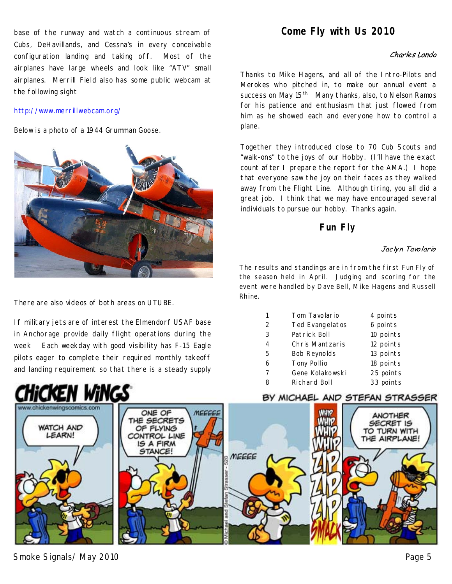base of the runway and watch a continuous stream of Cubs, DeHavillands, and Cessna's in every conceivable configuration landing and taking off. Most of the airplanes have large wheels and look like "ATV" small airplanes. Merrill Field also has some public webcam at the following sight

### http://www.merrillwebcam.org/

Below is a photo of a 1944 Grumman Goose.



There are also videos of both areas on UTUBE.

If military jets are of interest the Elmendorf USAF base in Anchorage provide daily flight operations during the week Each weekday with good visibility has F-15 Eagle pilots eager to complete their required monthly takeoff and landing requirement so that there is a steady supply



### Charles Lando

Thanks to Mike Hagens, and all of the Intro-Pilots and Merokes who pitched in, to make our annual event a success on May 15<sup>th</sup>. Many thanks, also, to Nelson Ramos for his patience and enthusiasm that just flowed from him as he showed each and everyone how to control a plane.

Together they introduced close to 70 Cub Scouts and "walk-ons" to the joys of our Hobby. (I'll have the exact count after I prepare the report for the AMA.) I hope that everyone saw the joy on their faces as they walked away from the Flight Line. Although tiring, you all did a great job. I think that we may have encouraged several individuals to pursue our hobby. Thanks again.

# **Fun Fly**

### Jaclyn Tavolario

The results and standings are in from the first Fun Fly of the season held in April. Judging and scoring for the event were handled by Dave Bell, Mike Hagens and Russell Rhine.

| 1             | Tom Tavolario       | 4 points  |
|---------------|---------------------|-----------|
| $\mathcal{P}$ | Ted Evangelatos     | 6 points  |
| 3             | Patrick Boll        | 10 points |
| 4             | Chris Mantzaris     | 12 points |
| 5             | <b>Bob Reynolds</b> | 13 points |
| 6             | Tony Pollio         | 18 points |
| 7             | Gene Kolakowski     | 25 points |
| 8             | Richard Boll        | 33 points |
|               |                     |           |

### BY MICHAEL AND STEFAN STRASSER



Smoke Signals/ May 2010 **Page 5** 

of touch and go's on display.